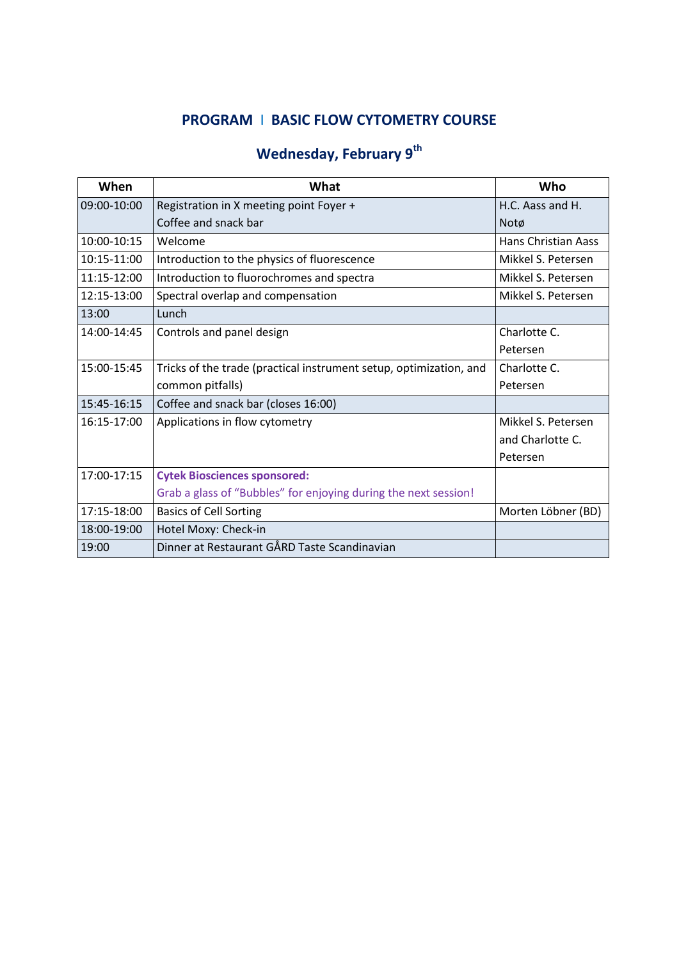## **PROGRAM** I **BASIC FLOW CYTOMETRY COURSE**

## **Wednesday, February 9th**

| When        | What                                                               | Who                        |
|-------------|--------------------------------------------------------------------|----------------------------|
| 09:00-10:00 | Registration in X meeting point Foyer +                            | H.C. Aass and H.           |
|             | Coffee and snack bar                                               | Notø                       |
| 10:00-10:15 | Welcome                                                            | <b>Hans Christian Aass</b> |
| 10:15-11:00 | Introduction to the physics of fluorescence                        | Mikkel S. Petersen         |
| 11:15-12:00 | Introduction to fluorochromes and spectra                          | Mikkel S. Petersen         |
| 12:15-13:00 | Spectral overlap and compensation                                  | Mikkel S. Petersen         |
| 13:00       | Lunch                                                              |                            |
| 14:00-14:45 | Controls and panel design                                          | Charlotte C.               |
|             |                                                                    | Petersen                   |
| 15:00-15:45 | Tricks of the trade (practical instrument setup, optimization, and | Charlotte C.               |
|             | common pitfalls)                                                   | Petersen                   |
| 15:45-16:15 | Coffee and snack bar (closes 16:00)                                |                            |
| 16:15-17:00 | Applications in flow cytometry                                     | Mikkel S. Petersen         |
|             |                                                                    | and Charlotte C.           |
|             |                                                                    | Petersen                   |
| 17:00-17:15 | <b>Cytek Biosciences sponsored:</b>                                |                            |
|             | Grab a glass of "Bubbles" for enjoying during the next session!    |                            |
| 17:15-18:00 | <b>Basics of Cell Sorting</b>                                      | Morten Löbner (BD)         |
| 18:00-19:00 | Hotel Moxy: Check-in                                               |                            |
| 19:00       | Dinner at Restaurant GÅRD Taste Scandinavian                       |                            |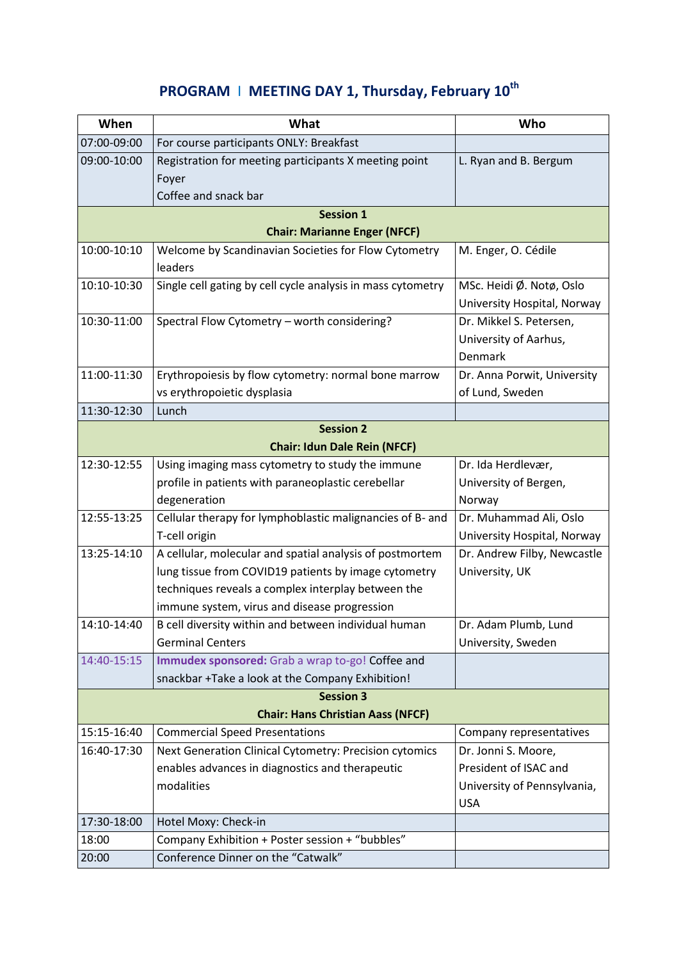## **PROGRAM** I **MEETING DAY 1, Thursday, February 10th**

| When                                | What                                                                                                                                                                                                                   | Who                                                                |  |  |
|-------------------------------------|------------------------------------------------------------------------------------------------------------------------------------------------------------------------------------------------------------------------|--------------------------------------------------------------------|--|--|
| 07:00-09:00                         | For course participants ONLY: Breakfast                                                                                                                                                                                |                                                                    |  |  |
| 09:00-10:00                         | Registration for meeting participants X meeting point<br>Foyer<br>Coffee and snack bar                                                                                                                                 | L. Ryan and B. Bergum                                              |  |  |
|                                     | <b>Session 1</b>                                                                                                                                                                                                       |                                                                    |  |  |
| <b>Chair: Marianne Enger (NFCF)</b> |                                                                                                                                                                                                                        |                                                                    |  |  |
| 10:00-10:10                         | Welcome by Scandinavian Societies for Flow Cytometry<br>leaders                                                                                                                                                        | M. Enger, O. Cédile                                                |  |  |
| 10:10-10:30                         | Single cell gating by cell cycle analysis in mass cytometry                                                                                                                                                            | MSc. Heidi Ø. Notø, Oslo<br>University Hospital, Norway            |  |  |
| 10:30-11:00                         | Spectral Flow Cytometry - worth considering?                                                                                                                                                                           | Dr. Mikkel S. Petersen,<br>University of Aarhus,<br><b>Denmark</b> |  |  |
| 11:00-11:30                         | Erythropoiesis by flow cytometry: normal bone marrow<br>vs erythropoietic dysplasia                                                                                                                                    | Dr. Anna Porwit, University<br>of Lund, Sweden                     |  |  |
| 11:30-12:30                         | Lunch                                                                                                                                                                                                                  |                                                                    |  |  |
| <b>Session 2</b>                    |                                                                                                                                                                                                                        |                                                                    |  |  |
| <b>Chair: Idun Dale Rein (NFCF)</b> |                                                                                                                                                                                                                        |                                                                    |  |  |
| 12:30-12:55                         | Using imaging mass cytometry to study the immune<br>profile in patients with paraneoplastic cerebellar                                                                                                                 | Dr. Ida Herdlevær,<br>University of Bergen,                        |  |  |
|                                     | degeneration                                                                                                                                                                                                           | Norway                                                             |  |  |
| 12:55-13:25                         | Cellular therapy for lymphoblastic malignancies of B- and                                                                                                                                                              | Dr. Muhammad Ali, Oslo                                             |  |  |
|                                     | T-cell origin                                                                                                                                                                                                          | University Hospital, Norway                                        |  |  |
| 13:25-14:10                         | A cellular, molecular and spatial analysis of postmortem<br>lung tissue from COVID19 patients by image cytometry<br>techniques reveals a complex interplay between the<br>immune system, virus and disease progression | Dr. Andrew Filby, Newcastle<br>University, UK                      |  |  |
| 14:10-14:40                         | B cell diversity within and between individual human                                                                                                                                                                   | Dr. Adam Plumb, Lund                                               |  |  |
|                                     | <b>Germinal Centers</b>                                                                                                                                                                                                | University, Sweden                                                 |  |  |
| 14:40-15:15                         | Immudex sponsored: Grab a wrap to-go! Coffee and<br>snackbar +Take a look at the Company Exhibition!                                                                                                                   |                                                                    |  |  |
|                                     | <b>Session 3</b>                                                                                                                                                                                                       |                                                                    |  |  |
|                                     | <b>Chair: Hans Christian Aass (NFCF)</b>                                                                                                                                                                               |                                                                    |  |  |
| 15:15-16:40                         | <b>Commercial Speed Presentations</b>                                                                                                                                                                                  | Company representatives                                            |  |  |
| 16:40-17:30                         | Next Generation Clinical Cytometry: Precision cytomics                                                                                                                                                                 | Dr. Jonni S. Moore,                                                |  |  |
|                                     | enables advances in diagnostics and therapeutic                                                                                                                                                                        | President of ISAC and                                              |  |  |
|                                     | modalities                                                                                                                                                                                                             | University of Pennsylvania,<br><b>USA</b>                          |  |  |
| 17:30-18:00                         | Hotel Moxy: Check-in                                                                                                                                                                                                   |                                                                    |  |  |
| 18:00                               | Company Exhibition + Poster session + "bubbles"                                                                                                                                                                        |                                                                    |  |  |
| 20:00                               | Conference Dinner on the "Catwalk"                                                                                                                                                                                     |                                                                    |  |  |